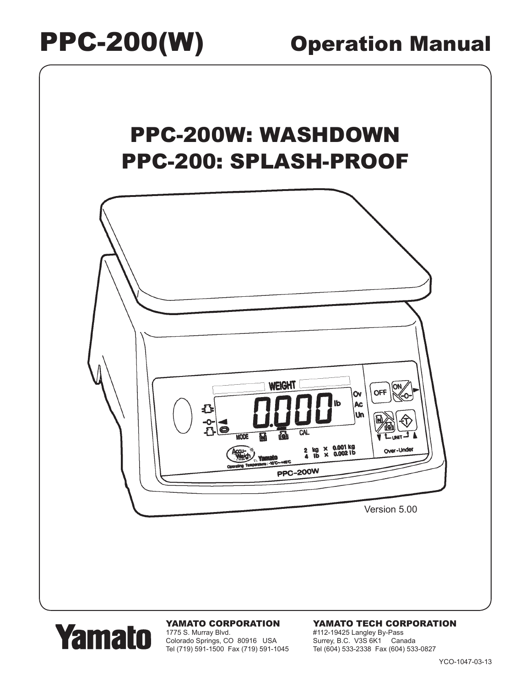

# **Yamato**

### YAMATO CORPORATION

1775 S. Murray Blvd. Colorado Springs, CO 80916 USA Tel (719) 591-1500 Fax (719) 591-1045

### YAMATO TECH CORPORATION

#112-19425 Langley By-Pass Surrey, B.C. V3S 6K1 Canada Tel (604) 533-2338 Fax (604) 533-0827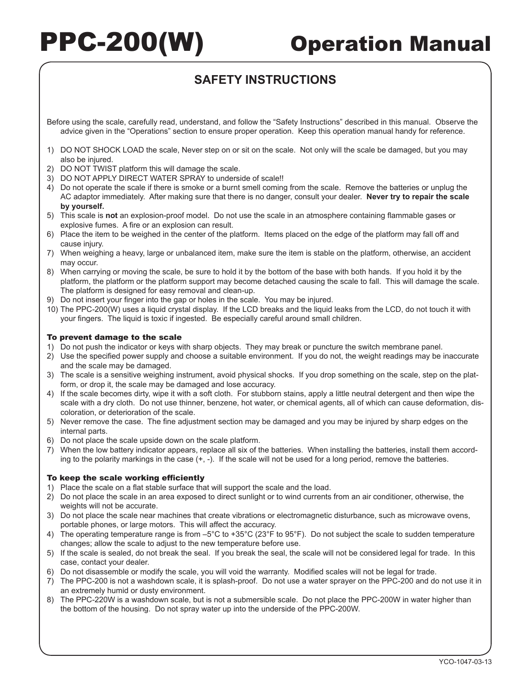### **SAFETY INSTRUCTIONS**

Before using the scale, carefully read, understand, and follow the "Safety Instructions" described in this manual. Observe the advice given in the "Operations" section to ensure proper operation. Keep this operation manual handy for reference.

- 1) DO NOT SHOCK LOAD the scale, Never step on or sit on the scale. Not only will the scale be damaged, but you may also be injured.
- 2) DO NOT TWIST platform this will damage the scale.
- 3) DO NOT APPLY DIRECT WATER SPRAY to underside of scale!!
- 4) Do not operate the scale if there is smoke or a burnt smell coming from the scale. Remove the batteries or unplug the AC adaptor immediately. After making sure that there is no danger, consult your dealer. **Never try to repair the scale by yourself.**
- 5) This scale is **not** an explosion‑proof model. Do not use the scale in an atmosphere containing flammable gases or explosive fumes. A fire or an explosion can result.
- 6) Place the item to be weighed in the center of the platform. Items placed on the edge of the platform may fall off and cause injury.
- 7) When weighing a heavy, large or unbalanced item, make sure the item is stable on the platform, otherwise, an accident may occur.
- 8) When carrying or moving the scale, be sure to hold it by the bottom of the base with both hands. If you hold it by the platform, the platform or the platform support may become detached causing the scale to fall. This will damage the scale. The platform is designed for easy removal and clean-up.
- 9) Do not insert your finger into the gap or holes in the scale. You may be injured.
- 10) The PPC-200(W) uses a liquid crystal display. If the LCD breaks and the liquid leaks from the LCD, do not touch it with your fingers. The liquid is toxic if ingested. Be especially careful around small children.

### To prevent damage to the scale

- 1) Do not push the indicator or keys with sharp objects. They may break or puncture the switch membrane panel.
- 2) Use the specified power supply and choose a suitable environment. If you do not, the weight readings may be inaccurate and the scale may be damaged.
- 3) The scale is a sensitive weighing instrument, avoid physical shocks. If you drop something on the scale, step on the platform, or drop it, the scale may be damaged and lose accuracy.
- 4) If the scale becomes dirty, wipe it with a soft cloth. For stubborn stains, apply a little neutral detergent and then wipe the scale with a dry cloth. Do not use thinner, benzene, hot water, or chemical agents, all of which can cause deformation, discoloration, or deterioration of the scale.
- 5) Never remove the case. The fine adjustment section may be damaged and you may be injured by sharp edges on the internal parts.
- 6) Do not place the scale upside down on the scale platform.
- 7) When the low battery indicator appears, replace all six of the batteries. When installing the batteries, install them according to the polarity markings in the case  $(+, -)$ . If the scale will not be used for a long period, remove the batteries.

### To keep the scale working efficiently

- 1) Place the scale on a flat stable surface that will support the scale and the load.
- 2) Do not place the scale in an area exposed to direct sunlight or to wind currents from an air conditioner, otherwise, the weights will not be accurate.
- 3) Do not place the scale near machines that create vibrations or electromagnetic disturbance, such as microwave ovens, portable phones, or large motors. This will affect the accuracy.
- 4) The operating temperature range is from –5°C to +35°C (23°F to 95°F). Do not subject the scale to sudden temperature changes; allow the scale to adjust to the new temperature before use.
- 5) If the scale is sealed, do not break the seal. If you break the seal, the scale will not be considered legal for trade. In this case, contact your dealer.
- 6) Do not disassemble or modify the scale, you will void the warranty. Modified scales will not be legal for trade.
- 7) The PPC-200 is not a washdown scale, it is splash-proof. Do not use a water sprayer on the PPC-200 and do not use it in an extremely humid or dusty environment.
- 8) The PPC-220W is a washdown scale, but is not a submersible scale. Do not place the PPC-200W in water higher than the bottom of the housing. Do not spray water up into the underside of the PPC-200W.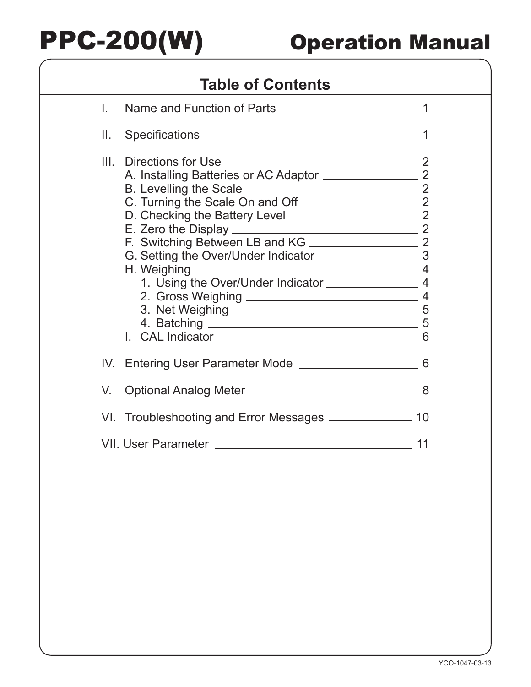## **Table of Contents**

| L.   | Name and Function of Parts                               |  |  |
|------|----------------------------------------------------------|--|--|
| II.  |                                                          |  |  |
| III. | C. Turning the Scale On and Off 22 22                    |  |  |
|      |                                                          |  |  |
| V.   |                                                          |  |  |
|      | VI. Troubleshooting and Error Messages ______________ 10 |  |  |
| 11   |                                                          |  |  |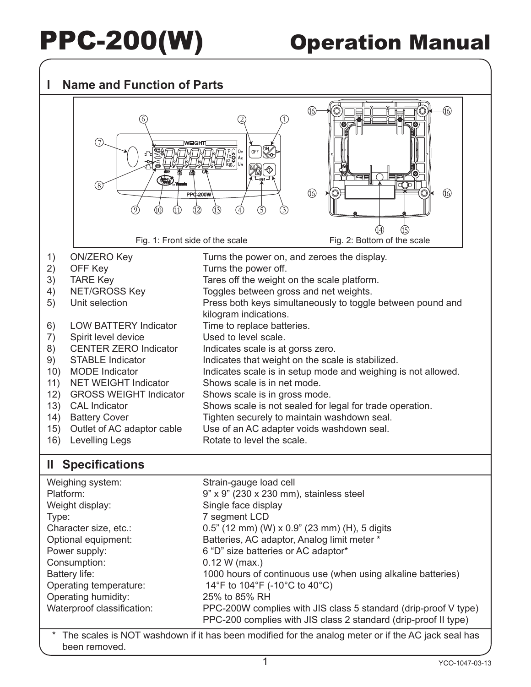### **I Name and Function of Parts**



### **II Specifications**

| Weighing system:           | Strain-gauge load cell                                                                                                             |
|----------------------------|------------------------------------------------------------------------------------------------------------------------------------|
| Platform:                  | 9" x 9" (230 x 230 mm), stainless steel                                                                                            |
| Weight display:            | Single face display                                                                                                                |
| Type:                      | 7 segment LCD                                                                                                                      |
| Character size, etc.:      | $0.5$ " (12 mm) (W) x $0.9$ " (23 mm) (H), 5 digits                                                                                |
| Optional equipment:        | Batteries, AC adaptor, Analog limit meter *                                                                                        |
| Power supply:              | 6 "D" size batteries or AC adaptor*                                                                                                |
| Consumption:               | $0.12 W$ (max.)                                                                                                                    |
| Battery life:              | 1000 hours of continuous use (when using alkaline batteries)                                                                       |
| Operating temperature:     | 14°F to 104°F (-10°C to 40°C)                                                                                                      |
| Operating humidity:        | 25% to 85% RH                                                                                                                      |
| Waterproof classification: | PPC-200W complies with JIS class 5 standard (drip-proof V type)<br>PPC-200 complies with JIS class 2 standard (drip-proof II type) |
|                            |                                                                                                                                    |

The scales is NOT washdown if it has been modified for the analog meter or if the AC jack seal has been removed.

1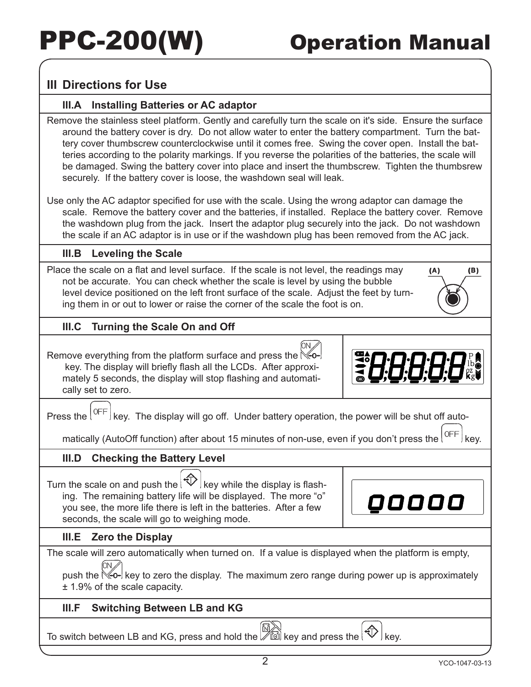### **III Directions for Use**

### **III.A Installing Batteries or AC adaptor**

Remove the stainless steel platform. Gently and carefully turn the scale on it's side. Ensure the surface around the battery cover is dry. Do not allow water to enter the battery compartment. Turn the battery cover thumbscrew counterclockwise until it comes free. Swing the cover open. Install the batteries according to the polarity markings. If you reverse the polarities of the batteries, the scale will be damaged. Swing the battery cover into place and insert the thumbscrew. Tighten the thumbsrew securely. If the battery cover is loose, the washdown seal will leak.

Use only the AC adaptor specified for use with the scale. Using the wrong adaptor can damage the scale. Remove the battery cover and the batteries, if installed. Replace the battery cover. Remove the washdown plug from the jack. Insert the adaptor plug securely into the jack. Do not washdown the scale if an AC adaptor is in use or if the washdown plug has been removed from the AC jack.

### **III.B Leveling the Scale**

Place the scale on a flat and level surface. If the scale is not level, the readings may not be accurate. You can check whether the scale is level by using the bubble level device positioned on the left front surface of the scale. Adjust the feet by turning them in or out to lower or raise the corner of the scale the foot is on.

### **III.C Turning the Scale On and Off**

Remove everything from the platform surface and press the  $\mathbb{K}\leftarrow$  key. The display will briefly flash all the LCDs. After approximately 5 seconds, the display will stop flashing and automatically set to zero.

H:H:H:H

00000

 $(A)$ 

(B)

Press the  $\sqrt{\text{OFF}}$  key. The display will go off. Under battery operation, the power will be shut off auto-

ſON ∥

matically (AutoOff function) after about 15 minutes of non-use, even if you don't press the  $\binom{OFF}{F}$  key.

### **III.D Checking the Battery Level**

Turn the scale on and push the  $\mathbb{Q}$  key while the display is flashing. The remaining battery life will be displayed. The more "o" you see, the more life there is left in the batteries. After a few seconds, the scale will go to weighing mode.

### **III.E Zero the Display**

The scale will zero automatically when turned on. If a value is displayed when the platform is empty, m

push the  $\mathbb{K}\leftarrow\leftarrow$  key to zero the display. The maximum zero range during power up is approximately ± 1.9% of the scale capacity.

### **III.F Switching Between LB and KG**

To switch between LB and KG, press and hold the  $\left(\bigotimes_{i=1}^{N}\right)$  key and press the  $\left(\bigotimes_{i=1}^{N}\right)$  key.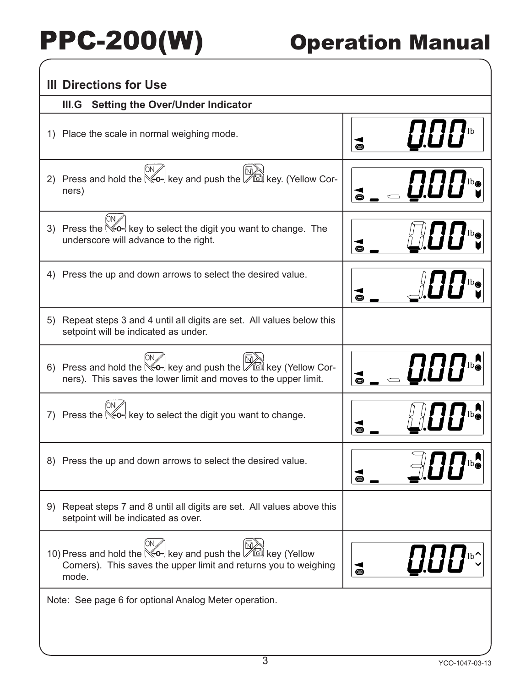| <b>Setting the Over/Under Indicator</b><br>III.G                                                                                                                                          |                                                |  |
|-------------------------------------------------------------------------------------------------------------------------------------------------------------------------------------------|------------------------------------------------|--|
| 1) Place the scale in normal weighing mode.                                                                                                                                               | $\boldsymbol{U}\boldsymbol{U}\boldsymbol{U}$ b |  |
| Press and hold the $\mathbb{K}_{0+}$ key and push the $\mathbb{W}_{\text{rel}}$ key. (Yellow Cor-<br>(2)<br>ners)                                                                         |                                                |  |
| 3) Press the $\infty$ - key to select the digit you want to change. The<br>underscore will advance to the right.                                                                          |                                                |  |
| 4) Press the up and down arrows to select the desired value.                                                                                                                              |                                                |  |
| Repeat steps 3 and 4 until all digits are set. All values below this<br>5)<br>setpoint will be indicated as under.                                                                        |                                                |  |
| 6) Press and hold the $\mathbb{K}\left(-\right)$ key and push the $\mathbb{W}\left(\mathbb{K}\right)$ key (Yellow Cor-<br>ners). This saves the lower limit and moves to the upper limit. |                                                |  |
| 7) Press the $\mathbb{K}\scriptstyle{\bullet}\negthinspace\bullet\negthinspace\vdash}$ key to select the digit you want to change.                                                        |                                                |  |
| 8) Press the up and down arrows to select the desired value.                                                                                                                              | $\prod_{b\circledcirc}$                        |  |
| Repeat steps 7 and 8 until all digits are set. All values above this<br>9)<br>setpoint will be indicated as over.                                                                         |                                                |  |
| 10) Press and hold the $\mathbb{K}_{q}$ key and push the $\mathbb{M}_{q}$ key (Yellow<br>Corners). This saves the upper limit and returns you to weighing<br>mode.                        | UOI.<br>$\bullet$                              |  |
| Note: See page 6 for optional Analog Meter operation.                                                                                                                                     |                                                |  |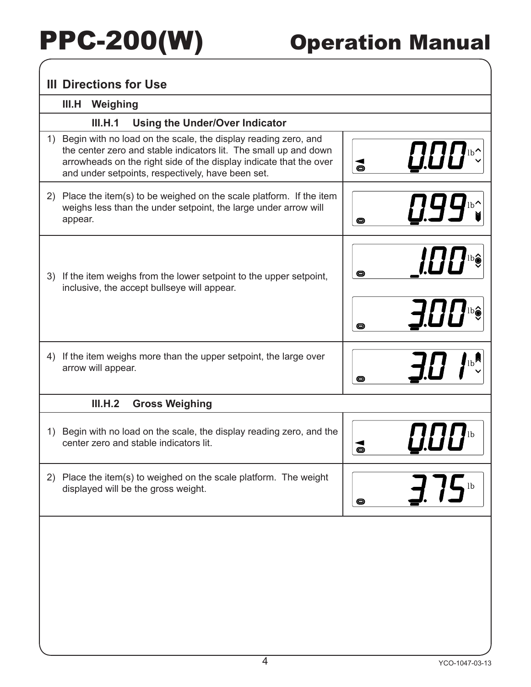|    | III.H Weighing                                                                                                                                                                                                                                                   |                 |                             |
|----|------------------------------------------------------------------------------------------------------------------------------------------------------------------------------------------------------------------------------------------------------------------|-----------------|-----------------------------|
|    | <b>Using the Under/Over Indicator</b><br>III.H.1                                                                                                                                                                                                                 |                 |                             |
|    | 1) Begin with no load on the scale, the display reading zero, and<br>the center zero and stable indicators lit. The small up and down<br>arrowheads on the right side of the display indicate that the over<br>and under setpoints, respectively, have been set. | $\vec{\bullet}$ | <b>0.00%</b>                |
|    | 2) Place the item(s) to be weighed on the scale platform. If the item<br>weighs less than the under setpoint, the large under arrow will<br>appear.                                                                                                              | O               |                             |
|    | 3) If the item weighs from the lower setpoint to the upper setpoint,<br>inclusive, the accept bullseye will appear.                                                                                                                                              |                 | <i>HH</i>                   |
|    |                                                                                                                                                                                                                                                                  |                 | J.I.II                      |
|    | 4) If the item weighs more than the upper setpoint, the large over<br>arrow will appear.                                                                                                                                                                         | O               | $\mathsf{b}$                |
|    | III.H.2<br><b>Gross Weighing</b>                                                                                                                                                                                                                                 |                 |                             |
| 1) | Begin with no load on the scale, the display reading zero, and the<br>center zero and stable indicators lit.                                                                                                                                                     |                 |                             |
| 2) | Place the item(s) to weighed on the scale platform. The weight<br>displayed will be the gross weight.                                                                                                                                                            | ⊝               | $\overline{\phantom{a}}$ lb |
|    |                                                                                                                                                                                                                                                                  |                 |                             |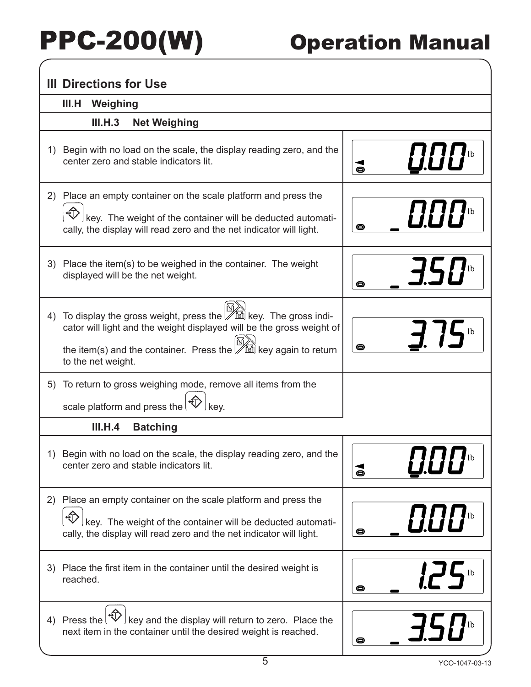| <b>III Directions for Use</b>                                                                                                                                                                                                                                |                                                   |
|--------------------------------------------------------------------------------------------------------------------------------------------------------------------------------------------------------------------------------------------------------------|---------------------------------------------------|
| III.H<br>Weighing                                                                                                                                                                                                                                            |                                                   |
| III.H.3<br><b>Net Weighing</b>                                                                                                                                                                                                                               |                                                   |
| 1) Begin with no load on the scale, the display reading zero, and the<br>center zero and stable indicators lit.                                                                                                                                              | $\boldsymbol{U}\boldsymbol{U}\boldsymbol{U}$<br>O |
| Place an empty container on the scale platform and press the<br>(2)<br>$\frac{1}{2}$ key. The weight of the container will be deducted automati-<br>cally, the display will read zero and the net indicator will light.                                      | <b><i>!!!!!</i></b><br>O                          |
| 3) Place the item(s) to be weighed in the container. The weight<br>displayed will be the net weight.                                                                                                                                                         | O                                                 |
| To display the gross weight, press the <b>DE A</b> key. The gross indi-<br>4)<br>cator will light and the weight displayed will be the gross weight of<br>the item(s) and the container. Press the $\mathbb{Z}$ is key again to return<br>to the net weight. | $\mathbf{1}$ /5 $\mathbf{b}$<br>O                 |
| To return to gross weighing mode, remove all items from the<br>5)<br>scale platform and press the $ \text{D}$                                                                                                                                                |                                                   |
| III.H.4<br><b>Batching</b>                                                                                                                                                                                                                                   |                                                   |
| 1) Begin with no load on the scale, the display reading zero, and the<br>center zero and stable indicators lit.                                                                                                                                              | O                                                 |
| 2) Place an empty container on the scale platform and press the<br>key. The weight of the container will be deducted automati-<br>cally, the display will read zero and the net indicator will light.                                                        | O                                                 |
| 3) Place the first item in the container until the desired weight is<br>reached.                                                                                                                                                                             | O                                                 |
| 4) Press the $\left(\sqrt[4]{\sqrt{2}}\right)$ key and the display will return to zero. Place the<br>next item in the container until the desired weight is reached.                                                                                         | O                                                 |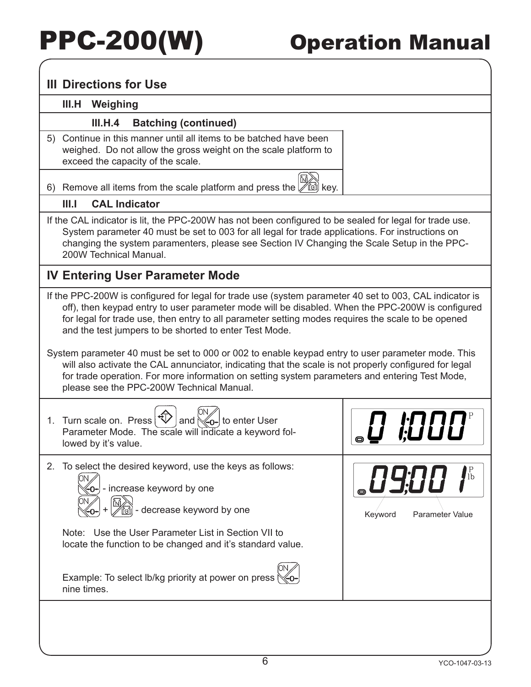### **III Directions for Use**

### **III.H Weighing**

### **III.H.4 Batching (continued)**

5) Continue in this manner until all items to be batched have been weighed. Do not allow the gross weight on the scale platform to exceed the capacity of the scale.

6) Remove all items from the scale platform and press the  $\mathbb{R}^{\mathbb{N}}$  key.

### **III.I CAL Indicator**

If the CAL indicator is lit, the PPC-200W has not been configured to be sealed for legal for trade use. System parameter 40 must be set to 003 for all legal for trade applications. For instructions on changing the system paramenters, please see Section IV Changing the Scale Setup in the PPC-200W Technical Manual.

### **IV Entering User Parameter Mode**

If the PPC-200W is configured for legal for trade use (system parameter 40 set to 003, CAL indicator is off), then keypad entry to user parameter mode will be disabled. When the PPC-200W is configured for legal for trade use, then entry to all parameter setting modes requires the scale to be opened and the test jumpers to be shorted to enter Test Mode.

System parameter 40 must be set to 000 or 002 to enable keypad entry to user parameter mode. This will also activate the CAL annunciator, indicating that the scale is not properly configured for legal for trade operation. For more information on setting system parameters and entering Test Mode, please see the PPC-200W Technical Manual.

|    | 1. Turn scale on. Press $ \mathcal{D} $<br>and $\mathbb{K}_{0}$ - to enter User<br>Parameter Mode. The scale will indicate a keyword fol-<br>lowed by it's value.                                                                                                                                              | 81111                      |
|----|----------------------------------------------------------------------------------------------------------------------------------------------------------------------------------------------------------------------------------------------------------------------------------------------------------------|----------------------------|
| 2. | To select the desired keyword, use the keys as follows:<br>- increase keyword by one<br>- decrease keyword by one<br>Note: Use the User Parameter List in Section VII to<br>locate the function to be changed and it's standard value.<br>Example: To select lb/kg priority at power on press (<br>nine times. | Parameter Value<br>Keyword |
|    |                                                                                                                                                                                                                                                                                                                |                            |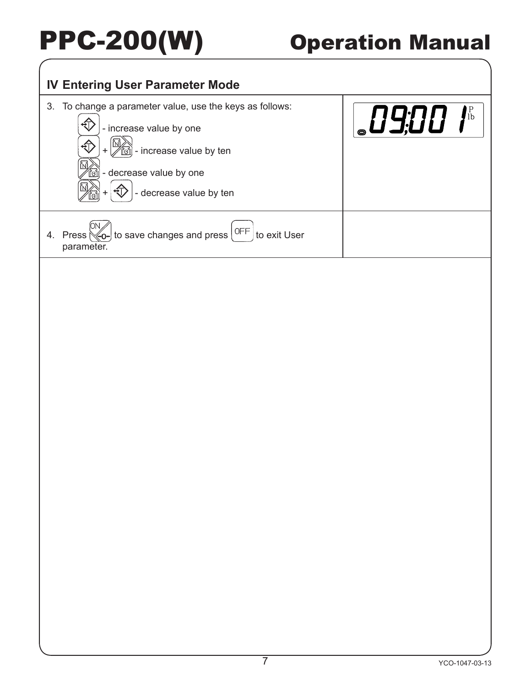## **IV Entering User Parameter Mode** 3. To change a parameter value, use the keys as follows: **B9:00 1th**  $\bigoplus$  - increase value by one €  $\mathbb{M}$  - increase value by ten - decrease value by one  $\bigcirc$  - decrease value by ten 4. Press  $\left[\frac{1}{2}C - C\right]$  to save changes and press  $\left[\frac{OFF}{C}\right]$  to exit User parameter.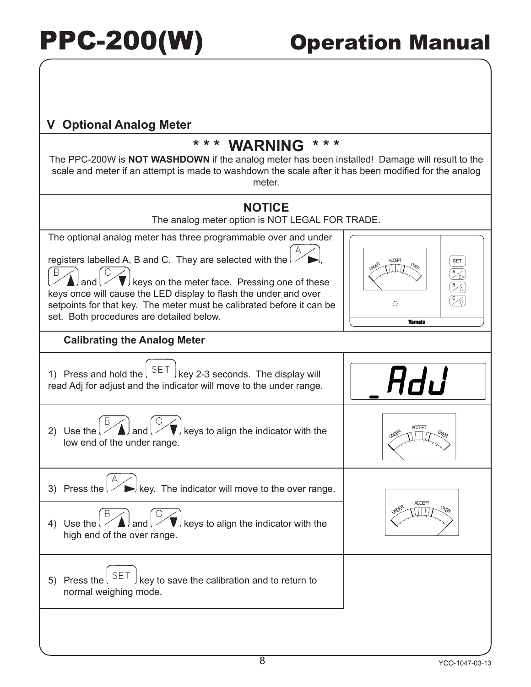### **V Optional Analog Meter**

## **\* \* \* WARNING \* \* \***

The PPC-200W is **NOT WASHDOWN** if the analog meter has been installed! Damage will result to the scale and meter if an attempt is made to washdown the scale after it has been modified for the analog meter.



The analog meter option is NOT LEGAL FOR TRADE.

The optional analog meter has three programmable over and under

registers labelled A, B and C. They are selected with the  $\mathfrak l$ 

 $\nabla$  keys on the meter face. Pressing one of these keys once will cause the LED display to flash the under and over setpoints for that key. The meter must be calibrated before it can be set. Both procedures are detailed below.

## **Calibrating the Analog Meter**

1) Press and hold the  $\left( \begin{array}{c} 5E \top \\ 5E \top \end{array} \right)$  key 2-3 seconds. The display will read Adj for adjust and the indicator will move to the under range.



3) Press the  $\geq$   $\blacktriangleright$  key. The indicator will move to the over range.

- 4) Use the  $\ell \leq \Delta$  and  $\ell \leq \ell$  keys to align the indicator with the high end of the over range.
- 5) Press the  $\left( \begin{array}{c} 5 \in T \end{array} \right)$  key to save the calibration and to return to normal weighing mode.







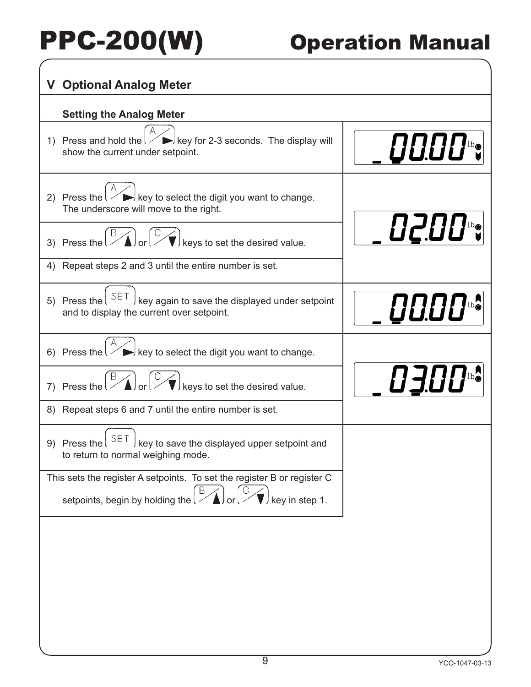| <b>Optional Analog Meter</b><br>V.                                                                                                                           |                 |  |  |
|--------------------------------------------------------------------------------------------------------------------------------------------------------------|-----------------|--|--|
| <b>Setting the Analog Meter</b>                                                                                                                              |                 |  |  |
| 1) Press and hold the $\geq$ $\geq$ key for 2-3 seconds. The display will<br>show the current under setpoint.                                                | <i>_00.00</i> % |  |  |
| 2) Press the $\left\langle \right\rangle$ $\left\langle \right\rangle$ key to select the digit you want to change.<br>The underscore will move to the right. |                 |  |  |
| 3) Press the $\left(\frac{B}{A}\right)$ or $\left(\frac{B}{B}\right)$<br>$\blacktriangledown$ keys to set the desired value.                                 | <b>D200%</b>    |  |  |
| 4) Repeat steps 2 and 3 until the entire number is set.                                                                                                      |                 |  |  |
| 5) Press the $\sqrt{\text{SET}}$<br>key again to save the displayed under setpoint<br>and to display the current over setpoint.                              | <b>0000%</b>    |  |  |
| $\rightarrow$ key to select the digit you want to change.<br>6) Press the $\sqrt{ }$                                                                         |                 |  |  |
| 7) Press the $\left[\frac{B}{A}\right]$ or $\left[\frac{B}{A}\right]$<br>$\hat{\blacktriangledown}$ keys to set the desired value.                           | <b>0300%</b>    |  |  |
| 8) Repeat steps 6 and 7 until the entire number is set.                                                                                                      |                 |  |  |
| 9) Press the $ $ SET<br>key to save the displayed upper setpoint and<br>to return to normal weighing mode.                                                   |                 |  |  |
| This sets the register A setpoints. To set the register B or register C<br>B<br>$^{\prime}$ key in step 1.<br>setpoints, begin by holding the                |                 |  |  |
|                                                                                                                                                              |                 |  |  |
|                                                                                                                                                              |                 |  |  |
|                                                                                                                                                              |                 |  |  |
|                                                                                                                                                              |                 |  |  |
|                                                                                                                                                              |                 |  |  |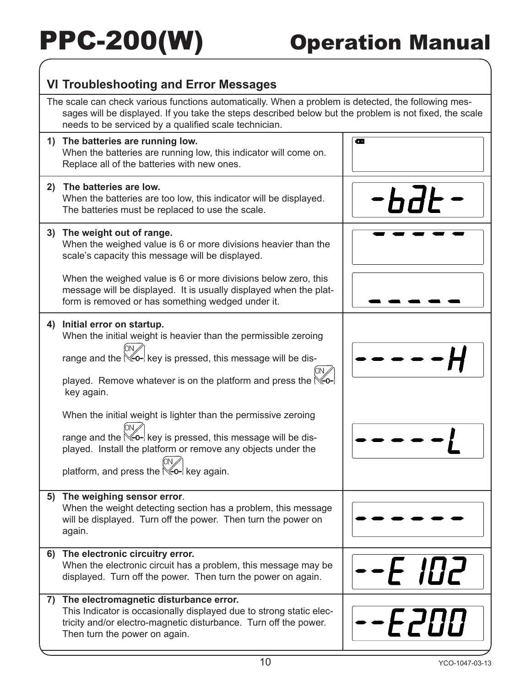### **VI Troubleshooting and Error Messages**

The scale can check various functions automatically. When a problem is detected, the following messages will be displayed. If you take the steps described below but the problem is not fixed, the scale needs to be serviced by a qualified scale technician. **1) The batteries are running low.**  $\overline{\bullet}$ When the batteries are running low, this indicator will come on. Replace all of the batteries with new ones. **2) The batteries are low.**

| 4  | The patteries are low.<br>When the batteries are too low, this indicator will be displayed.<br>The batteries must be replaced to use the scale.                                                                                                                                                                                                                                                                                                                                                                                                    |       |
|----|----------------------------------------------------------------------------------------------------------------------------------------------------------------------------------------------------------------------------------------------------------------------------------------------------------------------------------------------------------------------------------------------------------------------------------------------------------------------------------------------------------------------------------------------------|-------|
| 3) | The weight out of range.<br>When the weighed value is 6 or more divisions heavier than the<br>scale's capacity this message will be displayed.                                                                                                                                                                                                                                                                                                                                                                                                     |       |
|    | When the weighed value is 6 or more divisions below zero, this<br>message will be displayed. It is usually displayed when the plat-<br>form is removed or has something wedged under it.                                                                                                                                                                                                                                                                                                                                                           |       |
| 4) | Initial error on startup.<br>When the initial weight is heavier than the permissible zeroing<br>range and the $\leq 0$ - key is pressed, this message will be dis-<br>played. Remove whatever is on the platform and press the $\mathbb{K}\rightarrow$<br>key again.<br>When the initial weight is lighter than the permissive zeroing<br>range and the $\mathbb{K}\rightarrow$ key is pressed, this message will be dis-<br>played. Install the platform or remove any objects under the<br>platform, and press the $\mathbb{K}_{0}$ - key again. |       |
|    | 5) The weighing sensor error.<br>When the weight detecting section has a problem, this message<br>will be displayed. Turn off the power. Then turn the power on<br>again.                                                                                                                                                                                                                                                                                                                                                                          |       |
|    | 6) The electronic circuitry error.<br>When the electronic circuit has a problem, this message may be<br>displayed. Turn off the power. Then turn the power on again.                                                                                                                                                                                                                                                                                                                                                                               | 1 U L |
| 7) | The electromagnetic disturbance error.<br>This Indicator is occasionally displayed due to strong static elec-<br>tricity and/or electro-magnetic disturbance. Turn off the power.<br>Then turn the power on again.                                                                                                                                                                                                                                                                                                                                 | -E200 |